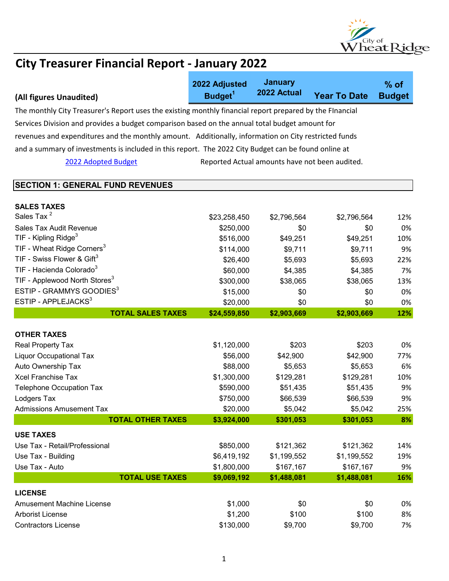

|                                                                                                          | 2022 Adjusted       | <b>January</b>                                 |                     | $%$ of        |
|----------------------------------------------------------------------------------------------------------|---------------------|------------------------------------------------|---------------------|---------------|
| (All figures Unaudited)                                                                                  | Budget <sup>1</sup> | 2022 Actual                                    | <b>Year To Date</b> | <b>Budget</b> |
| The monthly City Treasurer's Report uses the existing monthly financial report prepared by the Flnancial |                     |                                                |                     |               |
| Services Division and provides a budget comparison based on the annual total budget amount for           |                     |                                                |                     |               |
| revenues and expenditures and the monthly amount. Additionally, information on City restricted funds     |                     |                                                |                     |               |
| and a summary of investments is included in this report. The 2022 City Budget can be found online at     |                     |                                                |                     |               |
|                                                                                                          |                     |                                                |                     |               |
| 2022 Adopted Budget                                                                                      |                     | Reported Actual amounts have not been audited. |                     |               |
| <b>SECTION 1: GENERAL FUND REVENUES</b>                                                                  |                     |                                                |                     |               |
|                                                                                                          |                     |                                                |                     |               |
| <b>SALES TAXES</b>                                                                                       |                     |                                                |                     |               |
| Sales Tax <sup>2</sup>                                                                                   | \$23,258,450        | \$2,796,564                                    | \$2,796,564         | 12%           |
| Sales Tax Audit Revenue                                                                                  | \$250,000           | \$0                                            | \$0                 | 0%            |
| TIF - Kipling Ridge $3$                                                                                  | \$516,000           | \$49,251                                       | \$49,251            | 10%           |
| TIF - Wheat Ridge Corners <sup>3</sup>                                                                   | \$114,000           | \$9,711                                        | \$9,711             | 9%            |
| TIF - Swiss Flower & Gift <sup>3</sup>                                                                   | \$26,400            | \$5,693                                        | \$5,693             | 22%           |
| TIF - Hacienda Colorado <sup>3</sup>                                                                     | \$60,000            | \$4,385                                        | \$4,385             | 7%            |
| TIF - Applewood North Stores <sup>3</sup>                                                                | \$300,000           | \$38,065                                       | \$38,065            | 13%           |
| ESTIP - GRAMMYS GOODIES <sup>3</sup>                                                                     | \$15,000            | \$0                                            | \$0                 | 0%            |
| ESTIP - APPLEJACKS <sup>3</sup>                                                                          | \$20,000            | \$0                                            | \$0                 | 0%            |
| <b>TOTAL SALES TAXES</b>                                                                                 | \$24,559,850        | \$2,903,669                                    | \$2,903,669         | 12%           |
| <b>OTHER TAXES</b>                                                                                       |                     |                                                |                     |               |
| Real Property Tax                                                                                        | \$1,120,000         | \$203                                          | \$203               | 0%            |
| <b>Liquor Occupational Tax</b>                                                                           | \$56,000            | \$42,900                                       | \$42,900            | 77%           |
| Auto Ownership Tax                                                                                       | \$88,000            | \$5,653                                        | \$5,653             | 6%            |
| <b>Xcel Franchise Tax</b>                                                                                | \$1,300,000         | \$129,281                                      | \$129,281           | 10%           |
| <b>Telephone Occupation Tax</b>                                                                          | \$590,000           | \$51,435                                       | \$51,435            | 9%            |
| Lodgers Tax                                                                                              | \$750,000           | \$66,539                                       | \$66,539            | 9%            |
| <b>Admissions Amusement Tax</b>                                                                          | \$20,000            | \$5,042                                        | \$5,042             | 25%           |
| <b>TOTAL OTHER TAXES</b>                                                                                 | \$3,924,000         | \$301,053                                      | \$301,053           | 8%            |
| <b>USE TAXES</b>                                                                                         |                     |                                                |                     |               |
| Use Tax - Retail/Professional                                                                            | \$850,000           | \$121,362                                      | \$121,362           | 14%           |
| Use Tax - Building                                                                                       | \$6,419,192         | \$1,199,552                                    | \$1,199,552         | 19%           |
| Use Tax - Auto                                                                                           | \$1,800,000         | \$167,167                                      | \$167,167           | 9%            |
| <b>TOTAL USE TAXES</b>                                                                                   | \$9,069,192         | \$1,488,081                                    | \$1,488,081         | 16%           |
| <b>LICENSE</b>                                                                                           |                     |                                                |                     |               |
| <b>Amusement Machine License</b>                                                                         | \$1,000             | \$0                                            | \$0                 | 0%            |
| Arborist License                                                                                         | \$1,200             | \$100                                          | \$100               | 8%            |
| <b>Contractors License</b>                                                                               | \$130,000           | \$9,700                                        | \$9,700             | 7%            |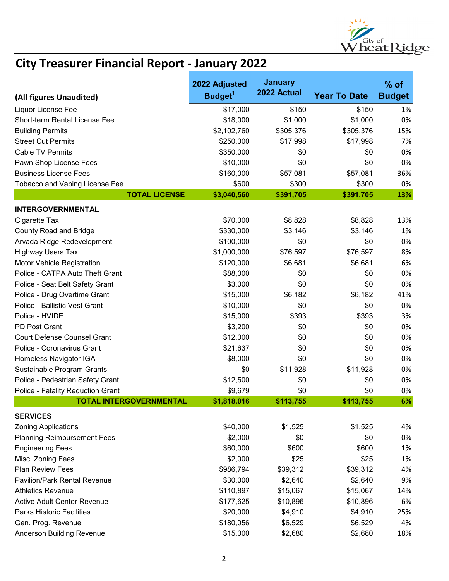

|                                     | 2022 Adjusted       | <b>January</b> |                     | $%$ of        |
|-------------------------------------|---------------------|----------------|---------------------|---------------|
| (All figures Unaudited)             | Budget <sup>1</sup> | 2022 Actual    | <b>Year To Date</b> | <b>Budget</b> |
| Liquor License Fee                  | \$17,000            | \$150          | \$150               | 1%            |
| Short-term Rental License Fee       | \$18,000            | \$1,000        | \$1,000             | 0%            |
| <b>Building Permits</b>             | \$2,102,760         | \$305,376      | \$305,376           | 15%           |
| <b>Street Cut Permits</b>           | \$250,000           | \$17,998       | \$17,998            | 7%            |
| <b>Cable TV Permits</b>             | \$350,000           | \$0            | \$0                 | 0%            |
| Pawn Shop License Fees              | \$10,000            | \$0            | \$0                 | 0%            |
| <b>Business License Fees</b>        | \$160,000           | \$57,081       | \$57,081            | 36%           |
| Tobacco and Vaping License Fee      | \$600               | \$300          | \$300               | 0%            |
| <b>TOTAL LICENSE</b>                | \$3,040,560         | \$391,705      | \$391,705           | 13%           |
| <b>INTERGOVERNMENTAL</b>            |                     |                |                     |               |
| Cigarette Tax                       | \$70,000            | \$8,828        | \$8,828             | 13%           |
| <b>County Road and Bridge</b>       | \$330,000           | \$3,146        | \$3,146             | 1%            |
| Arvada Ridge Redevelopment          | \$100,000           | \$0            | \$0                 | 0%            |
| <b>Highway Users Tax</b>            | \$1,000,000         | \$76,597       | \$76,597            | 8%            |
| Motor Vehicle Registration          | \$120,000           | \$6,681        | \$6,681             | 6%            |
| Police - CATPA Auto Theft Grant     | \$88,000            | \$0            | \$0                 | 0%            |
| Police - Seat Belt Safety Grant     | \$3,000             | \$0            | \$0                 | 0%            |
| Police - Drug Overtime Grant        | \$15,000            | \$6,182        | \$6,182             | 41%           |
| Police - Ballistic Vest Grant       | \$10,000            | \$0            | \$0                 | 0%            |
| Police - HVIDE                      | \$15,000            | \$393          | \$393               | 3%            |
| PD Post Grant                       | \$3,200             | \$0            | \$0                 | 0%            |
| <b>Court Defense Counsel Grant</b>  | \$12,000            | \$0            | \$0                 | 0%            |
| Police - Coronavirus Grant          | \$21,637            | \$0            | \$0                 | 0%            |
| Homeless Navigator IGA              | \$8,000             | \$0            | \$0                 | 0%            |
| Sustainable Program Grants          | \$0                 | \$11,928       | \$11,928            | 0%            |
| Police - Pedestrian Safety Grant    | \$12,500            | \$0            | \$0                 | 0%            |
| Police - Fatality Reduction Grant   | \$9,679             | \$0            | \$0                 | 0%            |
| <b>TOTAL INTERGOVERNMENTAL</b>      | \$1,818,016         | \$113,755      | \$113,755           | 6%            |
| <b>SERVICES</b>                     |                     |                |                     |               |
| <b>Zoning Applications</b>          | \$40,000            | \$1,525        | \$1,525             | 4%            |
| <b>Planning Reimbursement Fees</b>  | \$2,000             | \$0            | \$0                 | 0%            |
| <b>Engineering Fees</b>             | \$60,000            | \$600          | \$600               | 1%            |
| Misc. Zoning Fees                   | \$2,000             | \$25           | \$25                | 1%            |
| <b>Plan Review Fees</b>             | \$986,794           | \$39,312       | \$39,312            | 4%            |
| <b>Pavilion/Park Rental Revenue</b> | \$30,000            | \$2,640        | \$2,640             | 9%            |
| <b>Athletics Revenue</b>            | \$110,897           | \$15,067       | \$15,067            | 14%           |
| <b>Active Adult Center Revenue</b>  | \$177,625           | \$10,896       | \$10,896            | 6%            |
| <b>Parks Historic Facilities</b>    | \$20,000            | \$4,910        | \$4,910             | 25%           |
| Gen. Prog. Revenue                  | \$180,056           | \$6,529        | \$6,529             | 4%            |
| Anderson Building Revenue           | \$15,000            | \$2,680        | \$2,680             | 18%           |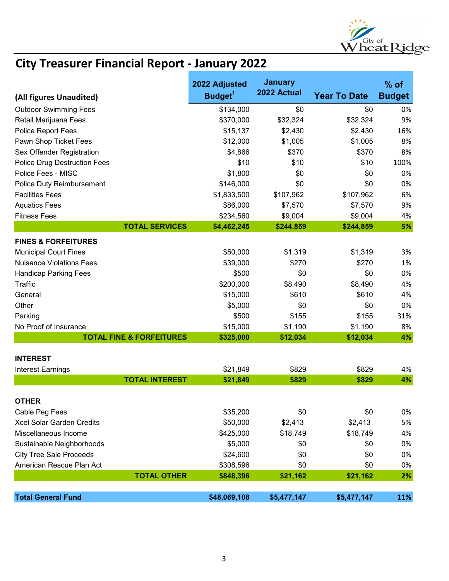

|                                                   | 2022 Adjusted        | <b>January</b><br>2022 Actual |                     | $%$ of        |
|---------------------------------------------------|----------------------|-------------------------------|---------------------|---------------|
| (All figures Unaudited)                           | Budget <sup>1</sup>  |                               | <b>Year To Date</b> | <b>Budget</b> |
| <b>Outdoor Swimming Fees</b>                      | \$134,000            | \$0                           | \$0                 | 0%            |
| Retail Marijuana Fees                             | \$370,000            | \$32,324                      | \$32,324            | 9%            |
| Police Report Fees                                | \$15,137             | \$2,430                       | \$2,430             | 16%           |
| Pawn Shop Ticket Fees                             | \$12,000             | \$1,005                       | \$1,005             | 8%            |
| Sex Offender Registration                         | \$4,866              | \$370                         | \$370               | 8%            |
| <b>Police Drug Destruction Fees</b>               | \$10                 | \$10                          | \$10                | 100%          |
| Police Fees - MISC                                | \$1,800              | \$0                           | \$0                 | 0%            |
| Police Duty Reimbursement                         | \$146,000            | \$0                           | \$0                 | 0%            |
| <b>Facilities Fees</b>                            | \$1,833,500          | \$107,962                     | \$107,962           | 6%            |
| <b>Aquatics Fees</b>                              | \$86,000             | \$7,570                       | \$7,570             | 9%            |
| <b>Fitness Fees</b>                               | \$234,560            | \$9,004                       | \$9,004             | 4%            |
| <b>TOTAL SERVICES</b>                             | \$4,462,245          | \$244,859                     | \$244,859           | 5%            |
| <b>FINES &amp; FORFEITURES</b>                    |                      |                               |                     |               |
| <b>Municipal Court Fines</b>                      | \$50,000             | \$1,319                       | \$1,319             | 3%            |
| <b>Nuisance Violations Fees</b>                   | \$39,000             | \$270                         | \$270               | 1%            |
| <b>Handicap Parking Fees</b>                      | \$500                | \$0                           | \$0                 | 0%            |
| Traffic                                           | \$200,000            | \$8,490                       | \$8,490             | 4%            |
| General                                           | \$15,000             | \$610                         | \$610               | 4%            |
| Other                                             | \$5,000              | \$0                           | \$0                 | 0%            |
| Parking                                           | \$500                | \$155                         | \$155               | 31%           |
| No Proof of Insurance                             | \$15,000             | \$1,190                       | \$1,190             | 8%            |
| <b>TOTAL FINE &amp; FORFEITURES</b>               | \$325,000            | \$12,034                      | \$12,034            | 4%            |
|                                                   |                      |                               |                     |               |
| <b>INTEREST</b>                                   |                      |                               |                     |               |
| <b>Interest Earnings</b><br><b>TOTAL INTEREST</b> | \$21,849<br>\$21,849 | \$829<br>\$829                | \$829<br>\$829      | 4%<br>4%      |
|                                                   |                      |                               |                     |               |
| <b>OTHER</b>                                      |                      |                               |                     |               |
| Cable Peg Fees                                    | \$35,200             | \$0                           | \$0                 | 0%            |
| <b>Xcel Solar Garden Credits</b>                  | \$50,000             | \$2,413                       | \$2,413             | 5%            |
| Miscellaneous Income                              | \$425,000            | \$18,749                      | \$18,749            | 4%            |
| Sustainable Neighborhoods                         | \$5,000              | \$0                           | \$0                 | 0%            |
| <b>City Tree Sale Proceeds</b>                    | \$24,600             | \$0                           | \$0                 | 0%            |
| American Rescue Plan Act                          | \$308,596            | \$0                           | \$0                 | 0%            |
| <b>TOTAL OTHER</b>                                | \$848,396            | \$21,162                      | \$21,162            | 2%            |
|                                                   |                      |                               |                     |               |
| <b>Total General Fund</b>                         | \$48,069,108         | \$5,477,147                   | \$5,477,147         | 11%           |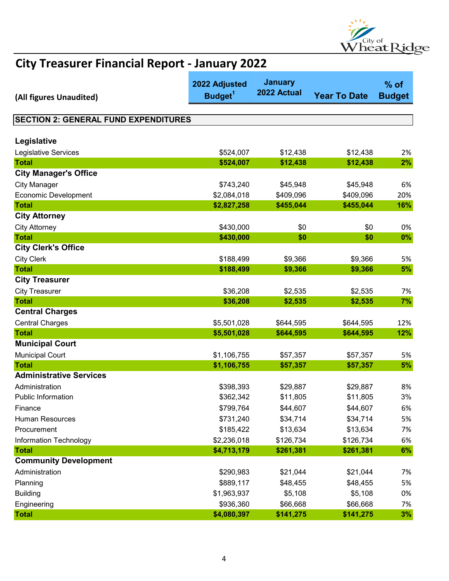

| (All figures Unaudited)                     | 2022 Adjusted<br>Budget <sup>1</sup> | <b>January</b><br>2022 Actual | <b>Year To Date</b> | $%$ of<br><b>Budget</b> |
|---------------------------------------------|--------------------------------------|-------------------------------|---------------------|-------------------------|
|                                             |                                      |                               |                     |                         |
| <b>SECTION 2: GENERAL FUND EXPENDITURES</b> |                                      |                               |                     |                         |
|                                             |                                      |                               |                     |                         |
| Legislative                                 |                                      |                               |                     |                         |
| Legislative Services                        | \$524,007                            | \$12,438                      | \$12,438            | 2%                      |
| <b>Total</b>                                | \$524,007                            | \$12,438                      | \$12,438            | 2%                      |
| <b>City Manager's Office</b>                |                                      |                               |                     |                         |
| <b>City Manager</b>                         | \$743,240                            | \$45,948                      | \$45,948            | 6%                      |
| <b>Economic Development</b>                 | \$2,084,018                          | \$409,096                     | \$409,096           | 20%                     |
| <b>Total</b>                                | \$2,827,258                          | \$455,044                     | \$455,044           | 16%                     |
| <b>City Attorney</b>                        |                                      |                               |                     |                         |
| <b>City Attorney</b>                        | \$430,000                            | \$0                           | \$0                 | 0%                      |
| <b>Total</b>                                | \$430,000                            | \$0                           | \$0                 | $0\%$                   |
| <b>City Clerk's Office</b>                  |                                      |                               |                     |                         |
| <b>City Clerk</b>                           | \$188,499                            | \$9,366                       | \$9,366             | 5%                      |
| <b>Total</b>                                | \$188,499                            | \$9,366                       | \$9,366             | 5%                      |
| <b>City Treasurer</b>                       |                                      |                               |                     |                         |
| <b>City Treasurer</b>                       | \$36,208                             | \$2,535                       | \$2,535             | 7%                      |
| <b>Total</b>                                | \$36,208                             | \$2,535                       | \$2,535             | 7%                      |
| <b>Central Charges</b>                      |                                      |                               |                     |                         |
| <b>Central Charges</b>                      | \$5,501,028                          | \$644,595                     | \$644,595           | 12%                     |
| <b>Total</b>                                | \$5,501,028                          | \$644,595                     | \$644,595           | 12%                     |
| <b>Municipal Court</b>                      |                                      |                               |                     |                         |
| <b>Municipal Court</b>                      | \$1,106,755                          | \$57,357                      | \$57,357            | 5%                      |
| <b>Total</b>                                | \$1,106,755                          | \$57,357                      | \$57,357            | 5%                      |
| <b>Administrative Services</b>              |                                      |                               |                     |                         |
| Administration                              | \$398,393                            | \$29,887                      | \$29,887            | 8%                      |
| <b>Public Information</b>                   | \$362,342                            | \$11,805                      | \$11,805            | 3%                      |
| Finance                                     | \$799,764                            | \$44,607                      | \$44,607            | 6%                      |
| Human Resources                             | \$731,240                            | \$34,714                      | \$34,714            | 5%                      |
| Procurement                                 | \$185,422                            | \$13,634                      | \$13,634            | 7%                      |
| Information Technology                      | \$2,236,018                          | \$126,734                     | \$126,734           | 6%                      |
| <b>Total</b>                                | \$4,713,179                          | \$261,381                     | \$261,381           | 6%                      |
| <b>Community Development</b>                |                                      |                               |                     |                         |
| Administration                              | \$290,983                            | \$21,044                      | \$21,044            | 7%                      |
| Planning                                    | \$889,117                            | \$48,455                      | \$48,455            | 5%                      |
| <b>Building</b>                             | \$1,963,937                          | \$5,108                       | \$5,108             | 0%                      |
| Engineering                                 | \$936,360                            | \$66,668                      | \$66,668            | 7%                      |
| <b>Total</b>                                | \$4,080,397                          | \$141,275                     | \$141,275           | 3%                      |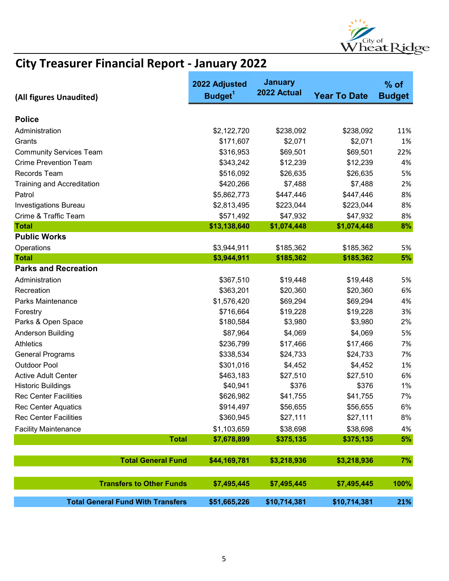

| (All figures Unaudited)                  | 2022 Adjusted<br>Budget <sup>1</sup> | <b>January</b><br>2022 Actual | <b>Year To Date</b> | $%$ of<br><b>Budget</b> |
|------------------------------------------|--------------------------------------|-------------------------------|---------------------|-------------------------|
| <b>Police</b>                            |                                      |                               |                     |                         |
| Administration                           | \$2,122,720                          | \$238,092                     | \$238,092           | 11%                     |
| Grants                                   | \$171,607                            | \$2,071                       | \$2,071             | 1%                      |
| <b>Community Services Team</b>           | \$316,953                            | \$69,501                      | \$69,501            | 22%                     |
| <b>Crime Prevention Team</b>             | \$343,242                            | \$12,239                      | \$12,239            | 4%                      |
| Records Team                             | \$516,092                            | \$26,635                      | \$26,635            | 5%                      |
| <b>Training and Accreditation</b>        | \$420,266                            | \$7,488                       | \$7,488             | 2%                      |
| Patrol                                   | \$5,862,773                          | \$447,446                     | \$447,446           | 8%                      |
| <b>Investigations Bureau</b>             | \$2,813,495                          | \$223,044                     | \$223,044           | 8%                      |
| Crime & Traffic Team                     | \$571,492                            | \$47,932                      | \$47,932            | 8%                      |
| <b>Total</b>                             | \$13,138,640                         | \$1,074,448                   | \$1,074,448         | 8%                      |
| <b>Public Works</b>                      |                                      |                               |                     |                         |
| Operations                               | \$3,944,911                          | \$185,362                     | \$185,362           | 5%                      |
| <b>Total</b>                             | \$3,944,911                          | \$185,362                     | \$185,362           | 5%                      |
| <b>Parks and Recreation</b>              |                                      |                               |                     |                         |
| Administration                           | \$367,510                            | \$19,448                      | \$19,448            | 5%                      |
| Recreation                               | \$363,201                            | \$20,360                      | \$20,360            | 6%                      |
| Parks Maintenance                        | \$1,576,420                          | \$69,294                      | \$69,294            | 4%                      |
| Forestry                                 | \$716,664                            | \$19,228                      | \$19,228            | 3%                      |
| Parks & Open Space                       | \$180,584                            | \$3,980                       | \$3,980             | 2%                      |
| Anderson Building                        | \$87,964                             | \$4,069                       | \$4,069             | 5%                      |
| <b>Athletics</b>                         | \$236,799                            | \$17,466                      | \$17,466            | 7%                      |
| <b>General Programs</b>                  | \$338,534                            | \$24,733                      | \$24,733            | 7%                      |
| <b>Outdoor Pool</b>                      | \$301,016                            | \$4,452                       | \$4,452             | 1%                      |
| <b>Active Adult Center</b>               | \$463,183                            | \$27,510                      | \$27,510            | 6%                      |
| <b>Historic Buildings</b>                | \$40,941                             | \$376                         | \$376               | 1%                      |
| <b>Rec Center Facilities</b>             | \$626,982                            | \$41,755                      | \$41,755            | 7%                      |
| <b>Rec Center Aquatics</b>               | \$914,497                            | \$56,655                      | \$56,655            | 6%                      |
| <b>Rec Center Facilities</b>             | \$360,945                            | \$27,111                      | \$27,111            | 8%                      |
| <b>Facility Maintenance</b>              | \$1,103,659                          | \$38,698                      | \$38,698            | 4%                      |
| <b>Total</b>                             | \$7,678,899                          | \$375,135                     | \$375,135           | 5%                      |
| <b>Total General Fund</b>                | \$44,169,781                         | \$3,218,936                   | \$3,218,936         | 7%                      |
| <b>Transfers to Other Funds</b>          | \$7,495,445                          | \$7,495,445                   | \$7,495,445         | 100%                    |
| <b>Total General Fund With Transfers</b> | \$51,665,226                         | \$10,714,381                  | \$10,714,381        | 21%                     |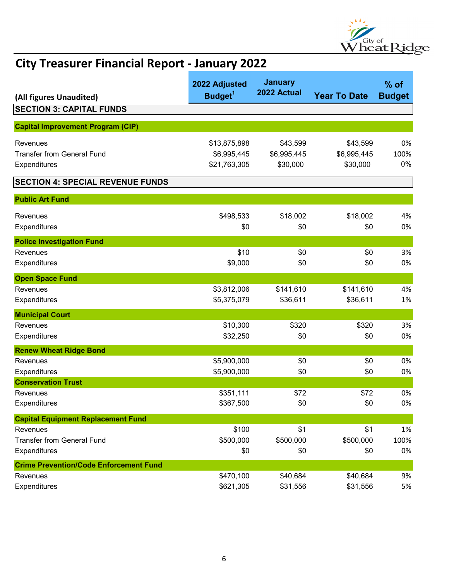

| (All figures Unaudited)                       | 2022 Adjusted<br>Budget <sup>1</sup> | <b>January</b><br>2022 Actual | <b>Year To Date</b> | $%$ of<br><b>Budget</b> |
|-----------------------------------------------|--------------------------------------|-------------------------------|---------------------|-------------------------|
| <b>SECTION 3: CAPITAL FUNDS</b>               |                                      |                               |                     |                         |
|                                               |                                      |                               |                     |                         |
| <b>Capital Improvement Program (CIP)</b>      |                                      |                               |                     |                         |
| Revenues                                      | \$13,875,898                         | \$43,599                      | \$43,599            | 0%                      |
| <b>Transfer from General Fund</b>             | \$6,995,445                          | \$6,995,445                   | \$6,995,445         | 100%                    |
| Expenditures                                  | \$21,763,305                         | \$30,000                      | \$30,000            | 0%                      |
| <b>SECTION 4: SPECIAL REVENUE FUNDS</b>       |                                      |                               |                     |                         |
| <b>Public Art Fund</b>                        |                                      |                               |                     |                         |
| Revenues                                      | \$498,533                            | \$18,002                      | \$18,002            | 4%                      |
| Expenditures                                  | \$0                                  | \$0                           | \$0                 | 0%                      |
| <b>Police Investigation Fund</b>              |                                      |                               |                     |                         |
| Revenues                                      | \$10                                 | \$0                           | \$0                 | 3%                      |
| Expenditures                                  | \$9,000                              | \$0                           | \$0                 | 0%                      |
| <b>Open Space Fund</b>                        |                                      |                               |                     |                         |
| Revenues                                      | \$3,812,006                          | \$141,610                     | \$141,610           | 4%                      |
| Expenditures                                  | \$5,375,079                          | \$36,611                      | \$36,611            | 1%                      |
| <b>Municipal Court</b>                        |                                      |                               |                     |                         |
| Revenues                                      | \$10,300                             | \$320                         | \$320               | 3%                      |
| <b>Expenditures</b>                           | \$32,250                             | \$0                           | \$0                 | 0%                      |
| <b>Renew Wheat Ridge Bond</b>                 |                                      |                               |                     |                         |
| Revenues                                      | \$5,900,000                          | \$0                           | \$0                 | 0%                      |
| Expenditures                                  | \$5,900,000                          | \$0                           | \$0                 | 0%                      |
| <b>Conservation Trust</b>                     |                                      |                               |                     |                         |
| Revenues                                      | \$351,111                            | \$72                          | \$72                | 0%                      |
| Expenditures                                  | \$367,500                            | \$0                           | \$0                 | 0%                      |
| <b>Capital Equipment Replacement Fund</b>     |                                      |                               |                     |                         |
| Revenues                                      | \$100                                | \$1                           | \$1                 | 1%                      |
| <b>Transfer from General Fund</b>             | \$500,000                            | \$500,000                     | \$500,000           | 100%                    |
| <b>Expenditures</b>                           | \$0                                  | \$0                           | \$0                 | 0%                      |
| <b>Crime Prevention/Code Enforcement Fund</b> |                                      |                               |                     |                         |
| Revenues                                      | \$470,100                            | \$40,684                      | \$40,684            | 9%                      |
| Expenditures                                  | \$621,305                            | \$31,556                      | \$31,556            | 5%                      |